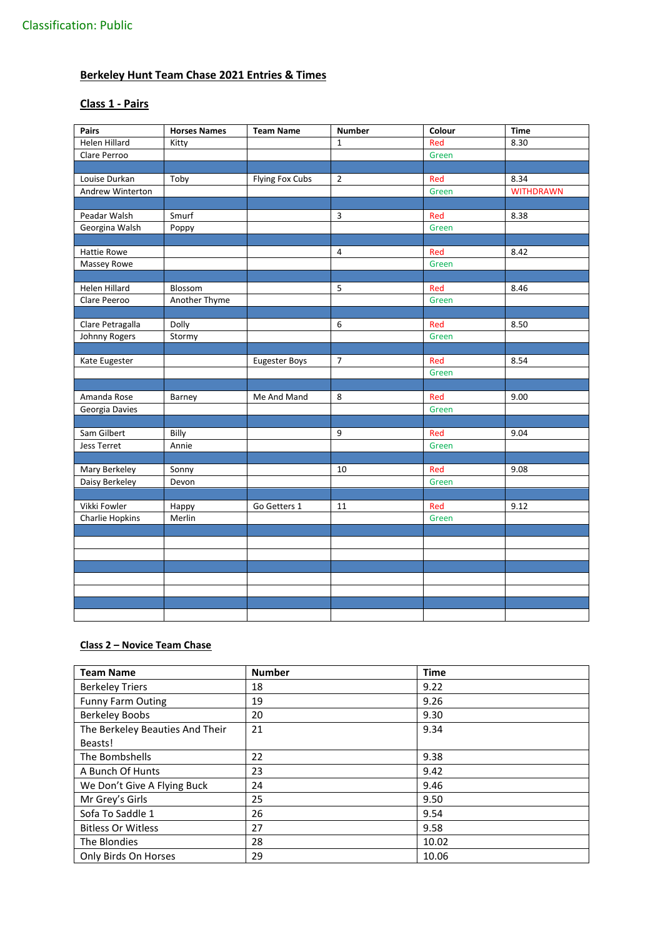# **Berkeley Hunt Team Chase 2021 Entries & Times**

## **Class 1 - Pairs**

| Pairs            | <b>Horses Names</b> | <b>Team Name</b> | Number         | Colour | <b>Time</b>      |
|------------------|---------------------|------------------|----------------|--------|------------------|
| Helen Hillard    | Kitty               |                  | $\mathbf{1}$   | Red    | 8.30             |
| Clare Perroo     |                     |                  |                | Green  |                  |
|                  |                     |                  |                |        |                  |
| Louise Durkan    | Toby                | Flying Fox Cubs  | $\overline{2}$ | Red    | 8.34             |
| Andrew Winterton |                     |                  |                | Green  | <b>WITHDRAWN</b> |
|                  |                     |                  |                |        |                  |
| Peadar Walsh     | Smurf               |                  | 3              | Red    | 8.38             |
| Georgina Walsh   | Poppy               |                  |                | Green  |                  |
|                  |                     |                  |                |        |                  |
| Hattie Rowe      |                     |                  | 4              | Red    | 8.42             |
| Massey Rowe      |                     |                  |                | Green  |                  |
|                  |                     |                  |                |        |                  |
| Helen Hillard    | Blossom             |                  | 5              | Red    | 8.46             |
| Clare Peeroo     | Another Thyme       |                  |                | Green  |                  |
|                  |                     |                  |                |        |                  |
| Clare Petragalla | Dolly               |                  | 6              | Red    | 8.50             |
| Johnny Rogers    | Stormy              |                  |                | Green  |                  |
|                  |                     |                  |                |        |                  |
| Kate Eugester    |                     | Eugester Boys    | $\overline{7}$ | Red    | 8.54             |
|                  |                     |                  |                | Green  |                  |
|                  |                     |                  |                |        |                  |
| Amanda Rose      | Barney              | Me And Mand      | 8              | Red    | 9.00             |
| Georgia Davies   |                     |                  |                | Green  |                  |
|                  |                     |                  |                |        |                  |
| Sam Gilbert      | Billy               |                  | 9              | Red    | 9.04             |
| Jess Terret      | Annie               |                  |                | Green  |                  |
|                  |                     |                  |                |        |                  |
| Mary Berkeley    | Sonny               |                  | 10             | Red    | 9.08             |
| Daisy Berkeley   | Devon               |                  |                | Green  |                  |
|                  |                     |                  |                |        |                  |
| Vikki Fowler     | Happy               | Go Getters 1     | 11             | Red    | 9.12             |
| Charlie Hopkins  | Merlin              |                  |                | Green  |                  |
|                  |                     |                  |                |        |                  |
|                  |                     |                  |                |        |                  |
|                  |                     |                  |                |        |                  |
|                  |                     |                  |                |        |                  |
|                  |                     |                  |                |        |                  |
|                  |                     |                  |                |        |                  |
|                  |                     |                  |                |        |                  |
|                  |                     |                  |                |        |                  |

## **Class 2 – Novice Team Chase**

| <b>Team Name</b>                | <b>Number</b> | <b>Time</b> |
|---------------------------------|---------------|-------------|
| <b>Berkeley Triers</b>          | 18            | 9.22        |
| <b>Funny Farm Outing</b>        | 19            | 9.26        |
| <b>Berkeley Boobs</b>           | 20            | 9.30        |
| The Berkeley Beauties And Their | 21            | 9.34        |
| Beasts!                         |               |             |
| The Bombshells                  | 22            | 9.38        |
| A Bunch Of Hunts                | 23            | 9.42        |
| We Don't Give A Flying Buck     | 24            | 9.46        |
| Mr Grey's Girls                 | 25            | 9.50        |
| Sofa To Saddle 1                | 26            | 9.54        |
| <b>Bitless Or Witless</b>       | 27            | 9.58        |
| The Blondies                    | 28            | 10.02       |
| Only Birds On Horses            | 29            | 10.06       |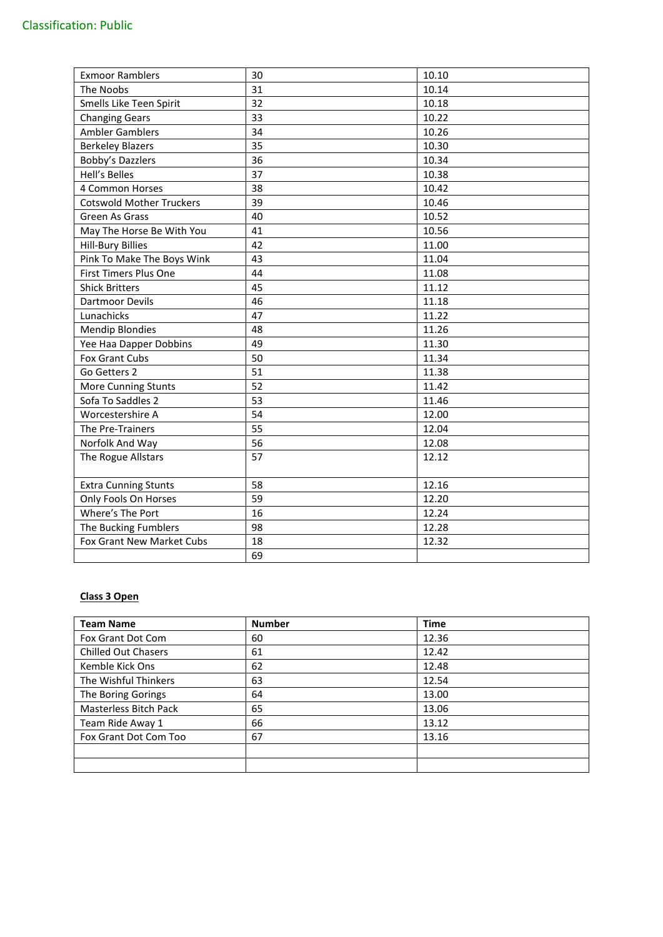| <b>Exmoor Ramblers</b>          | 30 | 10.10 |
|---------------------------------|----|-------|
| The Noobs                       | 31 | 10.14 |
| Smells Like Teen Spirit         | 32 | 10.18 |
| <b>Changing Gears</b>           | 33 | 10.22 |
| <b>Ambler Gamblers</b>          | 34 | 10.26 |
| <b>Berkeley Blazers</b>         | 35 | 10.30 |
| Bobby's Dazzlers                | 36 | 10.34 |
| Hell's Belles                   | 37 | 10.38 |
| 4 Common Horses                 | 38 | 10.42 |
| <b>Cotswold Mother Truckers</b> | 39 | 10.46 |
| <b>Green As Grass</b>           | 40 | 10.52 |
| May The Horse Be With You       | 41 | 10.56 |
| <b>Hill-Bury Billies</b>        | 42 | 11.00 |
| Pink To Make The Boys Wink      | 43 | 11.04 |
| First Timers Plus One           | 44 | 11.08 |
| <b>Shick Britters</b>           | 45 | 11.12 |
| <b>Dartmoor Devils</b>          | 46 | 11.18 |
| Lunachicks                      | 47 | 11.22 |
| <b>Mendip Blondies</b>          | 48 | 11.26 |
| Yee Haa Dapper Dobbins          | 49 | 11.30 |
| Fox Grant Cubs                  | 50 | 11.34 |
| Go Getters 2                    | 51 | 11.38 |
| More Cunning Stunts             | 52 | 11.42 |
| Sofa To Saddles 2               | 53 | 11.46 |
| Worcestershire A                | 54 | 12.00 |
| The Pre-Trainers                | 55 | 12.04 |
| Norfolk And Way                 | 56 | 12.08 |
| The Rogue Allstars              | 57 | 12.12 |
|                                 |    |       |
| <b>Extra Cunning Stunts</b>     | 58 | 12.16 |
| Only Fools On Horses            | 59 | 12.20 |
| Where's The Port                | 16 | 12.24 |
| The Bucking Fumblers            | 98 | 12.28 |
| Fox Grant New Market Cubs       | 18 | 12.32 |
|                                 | 69 |       |

#### **Class 3 Open**

| <b>Team Name</b>             | <b>Number</b> | <b>Time</b> |
|------------------------------|---------------|-------------|
| Fox Grant Dot Com            | 60            | 12.36       |
| <b>Chilled Out Chasers</b>   | 61            | 12.42       |
| Kemble Kick Ons              | 62            | 12.48       |
| The Wishful Thinkers         | 63            | 12.54       |
| The Boring Gorings           | 64            | 13.00       |
| <b>Masterless Bitch Pack</b> | 65            | 13.06       |
| Team Ride Away 1             | 66            | 13.12       |
| Fox Grant Dot Com Too        | 67            | 13.16       |
|                              |               |             |
|                              |               |             |